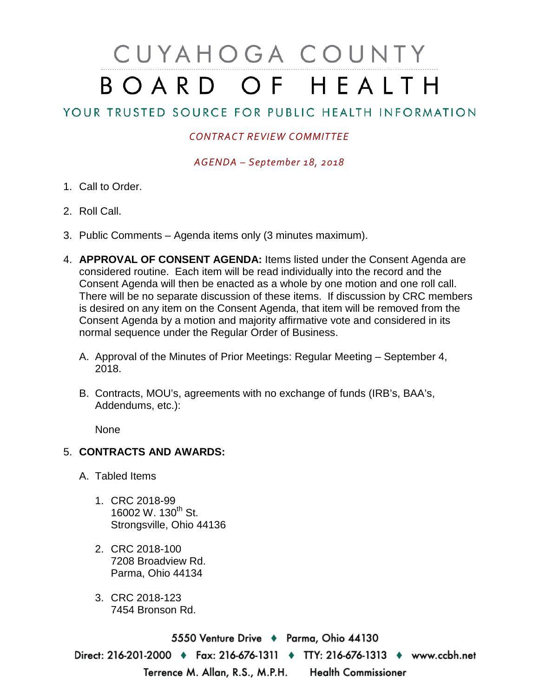## CUYAHOGA COUNTY BOARD OF HEALTH

## YOUR TRUSTED SOURCE FOR PUBLIC HEALTH INFORMATION

## *CONTRACT REVIEW COMMITTEE*

*AGENDA – September 18, 2018*

- 1. Call to Order.
- 2. Roll Call.
- 3. Public Comments Agenda items only (3 minutes maximum).
- 4. **APPROVAL OF CONSENT AGENDA:** Items listed under the Consent Agenda are considered routine. Each item will be read individually into the record and the Consent Agenda will then be enacted as a whole by one motion and one roll call. There will be no separate discussion of these items. If discussion by CRC members is desired on any item on the Consent Agenda, that item will be removed from the Consent Agenda by a motion and majority affirmative vote and considered in its normal sequence under the Regular Order of Business.
	- A. Approval of the Minutes of Prior Meetings: Regular Meeting September 4, 2018.
	- B. Contracts, MOU's, agreements with no exchange of funds (IRB's, BAA's, Addendums, etc.):

None

## 5. **CONTRACTS AND AWARDS:**

- A. Tabled Items
	- 1. CRC 2018-99 16002 W. 130<sup>th</sup> St. Strongsville, Ohio 44136
	- 2. CRC 2018-100 7208 Broadview Rd. Parma, Ohio 44134
	- 3. CRC 2018-123 7454 Bronson Rd.

5550 Venture Drive + Parma, Ohio 44130 Direct: 216-201-2000 • Fax: 216-676-1311 • TTY: 216-676-1313 • www.ccbh.net Terrence M. Allan, R.S., M.P.H. Health Commissioner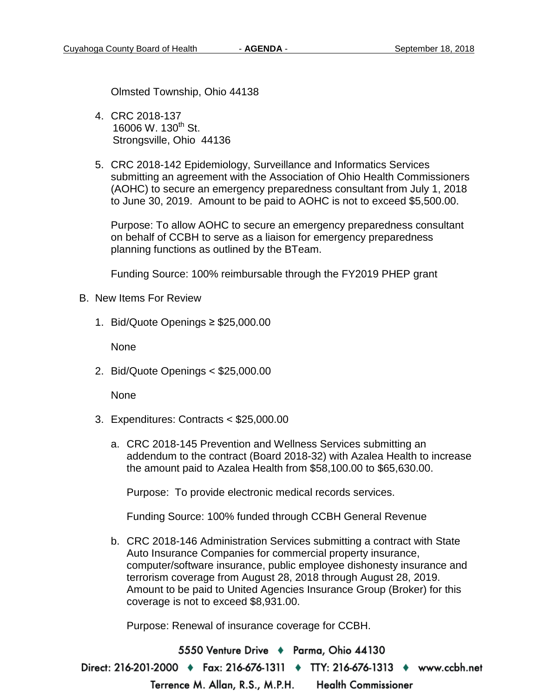Olmsted Township, Ohio 44138

- 4. CRC 2018-137 16006 W. 130<sup>th</sup> St. Strongsville, Ohio 44136
- 5. CRC 2018-142 Epidemiology, Surveillance and Informatics Services submitting an agreement with the Association of Ohio Health Commissioners (AOHC) to secure an emergency preparedness consultant from July 1, 2018 to June 30, 2019. Amount to be paid to AOHC is not to exceed \$5,500.00.

Purpose: To allow AOHC to secure an emergency preparedness consultant on behalf of CCBH to serve as a liaison for emergency preparedness planning functions as outlined by the BTeam.

Funding Source: 100% reimbursable through the FY2019 PHEP grant

- B. New Items For Review
	- 1. Bid/Quote Openings ≥ \$25,000.00

None

2. Bid/Quote Openings < \$25,000.00

**None** 

- 3. Expenditures: Contracts < \$25,000.00
	- a. CRC 2018-145 Prevention and Wellness Services submitting an addendum to the contract (Board 2018-32) with Azalea Health to increase the amount paid to Azalea Health from \$58,100.00 to \$65,630.00.

Purpose: To provide electronic medical records services.

Funding Source: 100% funded through CCBH General Revenue

b. CRC 2018-146 Administration Services submitting a contract with State Auto Insurance Companies for commercial property insurance, computer/software insurance, public employee dishonesty insurance and terrorism coverage from August 28, 2018 through August 28, 2019. Amount to be paid to United Agencies Insurance Group (Broker) for this coverage is not to exceed \$8,931.00.

Purpose: Renewal of insurance coverage for CCBH.

5550 Venture Drive + Parma, Ohio 44130 Direct: 216-201-2000 ♦ Fax: 216-676-1311 ♦ TTY: 216-676-1313 ♦ www.ccbh.net **Health Commissioner** Terrence M. Allan, R.S., M.P.H.